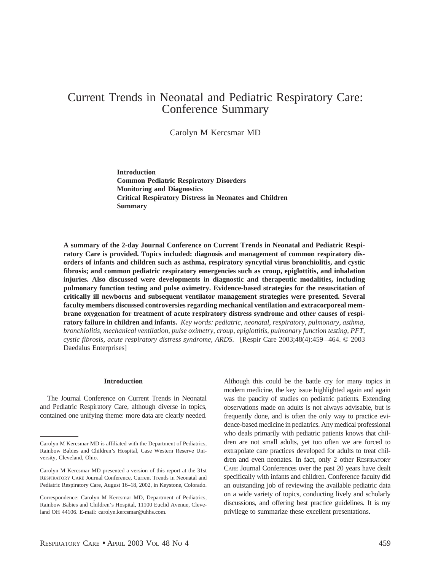# Current Trends in Neonatal and Pediatric Respiratory Care: Conference Summary

Carolyn M Kercsmar MD

**Introduction Common Pediatric Respiratory Disorders Monitoring and Diagnostics Critical Respiratory Distress in Neonates and Children Summary**

**A summary of the 2-day Journal Conference on Current Trends in Neonatal and Pediatric Respiratory Care is provided. Topics included: diagnosis and management of common respiratory disorders of infants and children such as asthma, respiratory syncytial virus bronchiolitis, and cystic fibrosis; and common pediatric respiratory emergencies such as croup, epiglottitis, and inhalation injuries. Also discussed were developments in diagnostic and therapeutic modalities, including pulmonary function testing and pulse oximetry. Evidence-based strategies for the resuscitation of critically ill newborns and subsequent ventilator management strategies were presented. Several faculty members discussed controversies regarding mechanical ventilation and extracorporeal membrane oxygenation for treatment of acute respiratory distress syndrome and other causes of respiratory failure in children and infants.** *Key words: pediatric, neonatal, respiratory, pulmonary, asthma, bronchiolitis, mechanical ventilation, pulse oximetry, croup, epiglottitis, pulmonary function testing, PFT, cystic fibrosis, acute respiratory distress syndrome, ARDS.* [Respir Care 2003;48(4):459–464. © 2003 Daedalus Enterprises]

#### **Introduction**

The Journal Conference on Current Trends in Neonatal and Pediatric Respiratory Care, although diverse in topics, contained one unifying theme: more data are clearly needed.

Although this could be the battle cry for many topics in modern medicine, the key issue highlighted again and again was the paucity of studies on pediatric patients. Extending observations made on adults is not always advisable, but is frequently done, and is often the only way to practice evidence-based medicine in pediatrics. Any medical professional who deals primarily with pediatric patients knows that children are not small adults, yet too often we are forced to extrapolate care practices developed for adults to treat children and even neonates. In fact, only 2 other RESPIRATORY CARE Journal Conferences over the past 20 years have dealt specifically with infants and children. Conference faculty did an outstanding job of reviewing the available pediatric data on a wide variety of topics, conducting lively and scholarly discussions, and offering best practice guidelines. It is my privilege to summarize these excellent presentations.

Carolyn M Kercsmar MD is affiliated with the Department of Pediatrics, Rainbow Babies and Children's Hospital, Case Western Reserve University, Cleveland, Ohio.

Carolyn M Kercsmar MD presented a version of this report at the 31st RESPIRATORY CARE Journal Conference, Current Trends in Neonatal and Pediatric Respiratory Care, August 16–18, 2002, in Keystone, Colorado.

Correspondence: Carolyn M Kercsmar MD, Department of Pediatrics, Rainbow Babies and Children's Hospital, 11100 Euclid Avenue, Cleveland OH 44106. E-mail: carolyn.kercsmar@uhhs.com.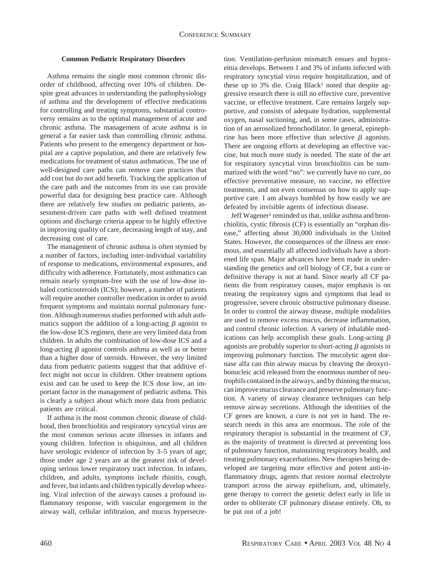### **Common Pediatric Respiratory Disorders**

Asthma remains the single most common chronic disorder of childhood, affecting over 10% of children. Despite great advances in understanding the pathophysiology of asthma and the development of effective medications for controlling and treating symptoms, substantial controversy remains as to the optimal management of acute and chronic asthma. The management of acute asthma is in general a far easier task than controlling chronic asthma. Patients who present to the emergency department or hospital are a captive population, and there are relatively few medications for treatment of status asthmaticus. The use of well-designed care paths can remove care practices that add cost but do not add benefit. Tracking the application of the care path and the outcomes from its use can provide powerful data for designing best practice care. Although there are relatively few studies on pediatric patients, assessment-driven care paths with well defined treatment options and discharge criteria appear to be highly effective in improving quality of care, decreasing length of stay, and decreasing cost of care.

The management of chronic asthma is often stymied by a number of factors, including inter-individual variability of response to medications, environmental exposures, and difficulty with adherence. Fortunately, most asthmatics can remain nearly symptom-free with the use of low-dose inhaled corticosteroids (ICS); however, a number of patients will require another controller medication in order to avoid frequent symptoms and maintain normal pulmonary function. Although numerous studies performed with adult asthmatics support the addition of a long-acting  $\beta$  agonist to the low-dose ICS regimen, there are very limited data from children. In adults the combination of low-dose ICS and a long-acting  $\beta$  agonist controls asthma as well as or better than a higher dose of steroids. However, the very limited data from pediatric patients suggest that that additive effect might not occur in children. Other treatment options exist and can be used to keep the ICS dose low, an important factor in the management of pediatric asthma. This is clearly a subject about which more data from pediatric patients are critical.

If asthma is the most common chronic disease of childhood, then bronchiolitis and respiratory syncytial virus are the most common serious acute illnesses in infants and young children. Infection is ubiquitous, and all children have serologic evidence of infection by 3–5 years of age; those under age 2 years are at the greatest risk of developing serious lower respiratory tract infection. In infants, children, and adults, symptoms include rhinitis, cough, and fever, but infants and children typically develop wheezing. Viral infection of the airways causes a profound inflammatory response, with vascular engorgement in the airway wall, cellular infiltration, and mucus hypersecretion. Ventilation-perfusion mismatch ensues and hypoxemia develops. Between 1 and 3% of infants infected with respiratory syncytial virus require hospitalization, and of these up to 3% die. Craig Black<sup>1</sup> noted that despite aggressive research there is still no effective cure, preventive vaccine, or effective treatment. Care remains largely supportive, and consists of adequate hydration, supplemental oxygen, nasal suctioning, and, in some cases, administration of an aerosolized bronchodilator. In general, epinephrine has been more effective than selective  $\beta$  agonists. There are ongoing efforts at developing an effective vaccine, but much more study is needed. The state of the art for respiratory syncytial virus bronchiolitis can be summarized with the word "no": we currently have no cure, no effective preventative measure, no vaccine, no effective treatments, and not even consensus on how to apply supportive care. I am always humbled by how easily we are defeated by invisible agents of infectious disease.

Jeff Wagener<sup>2</sup> reminded us that, unlike asthma and bronchiolitis, cystic fibrosis (CF) is essentially an "orphan disease," affecting about 30,000 individuals in the United States. However, the consequences of the illness are enormous, and essentially all affected individuals have a shortened life span. Major advances have been made in understanding the genetics and cell biology of CF, but a cure or definitive therapy is not at hand. Since nearly all CF patients die from respiratory causes, major emphasis is on treating the respiratory signs and symptoms that lead to progressive, severe chronic obstructive pulmonary disease. In order to control the airway disease, multiple modalities are used to remove excess mucus, decrease inflammation, and control chronic infection. A variety of inhalable medications can help accomplish these goals. Long-acting  $\beta$ agonists are probably superior to short-acting  $\beta$  agonists in improving pulmonary function. The mucolytic agent dornase alfa can thin airway mucus by cleaving the deoxyribonucleic acid released from the enormous number of neutrophils contained in the airways, and by thinning the mucus, can improve mucus clearance and preserve pulmonary function. A variety of airway clearance techniques can help remove airway secretions. Although the identities of the CF genes are known, a cure is not yet in hand. The research needs in this area are enormous. The role of the respiratory therapist is substantial in the treatment of CF, as the majority of treatment is directed at preventing loss of pulmonary function, maintaining respiratory health, and treating pulmonary exacerbations. New therapies being developed are targeting more effective and potent anti-inflammatory drugs, agents that restore normal electrolyte transport across the airway epithelium, and, ultimately, gene therapy to correct the genetic defect early in life in order to obliterate CF pulmonary disease entirely. Oh, to be put out of a job!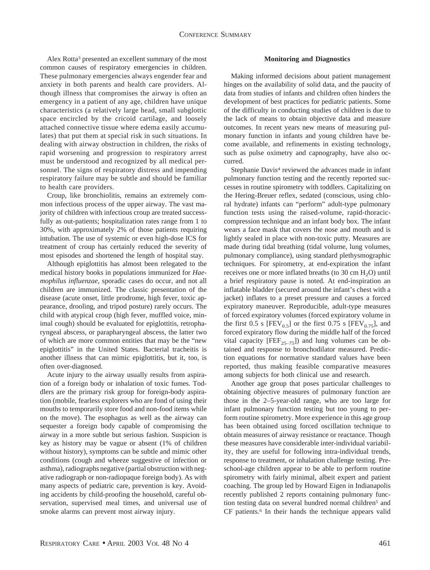Alex Rotta3 presented an excellent summary of the most common causes of respiratory emergencies in children. These pulmonary emergencies always engender fear and anxiety in both parents and health care providers. Although illness that compromises the airway is often an emergency in a patient of any age, children have unique characteristics (a relatively large head, small subglottic space encircled by the cricoid cartilage, and loosely attached connective tissue where edema easily accumulates) that put them at special risk in such situations. In dealing with airway obstruction in children, the risks of rapid worsening and progression to respiratory arrest must be understood and recognized by all medical personnel. The signs of respiratory distress and impending respiratory failure may be subtle and should be familiar to health care providers.

Croup, like bronchiolitis, remains an extremely common infectious process of the upper airway. The vast majority of children with infectious croup are treated successfully as out-patients; hospitalization rates range from 1 to 30%, with approximately 2% of those patients requiring intubation. The use of systemic or even high-dose ICS for treatment of croup has certainly reduced the severity of most episodes and shortened the length of hospital stay.

Although epiglottitis has almost been relegated to the medical history books in populations immunized for *Haemophilus influenzae*, sporadic cases do occur, and not all children are immunized. The classic presentation of the disease (acute onset, little prodrome, high fever, toxic appearance, drooling, and tripod posture) rarely occurs. The child with atypical croup (high fever, muffled voice, minimal cough) should be evaluated for epiglottitis, retropharyngeal abscess, or parapharyngeal abscess, the latter two of which are more common entities that may be the "new epiglottitis" in the United States. Bacterial tracheitis is another illness that can mimic epiglottitis, but it, too, is often over-diagnosed.

Acute injury to the airway usually results from aspiration of a foreign body or inhalation of toxic fumes. Toddlers are the primary risk group for foreign-body aspiration (mobile, fearless explorers who are fond of using their mouths to temporarily store food and non-food items while on the move). The esophagus as well as the airway can sequester a foreign body capable of compromising the airway in a more subtle but serious fashion. Suspicion is key as history may be vague or absent (1% of children without history), symptoms can be subtle and mimic other conditions (cough and wheeze suggestive of infection or asthma), radiographs negative (partial obstruction with negative radiograph or non-radiopaque foreign body). As with many aspects of pediatric care, prevention is key. Avoiding accidents by child-proofing the household, careful observation, supervised meal times, and universal use of smoke alarms can prevent most airway injury.

#### **Monitoring and Diagnostics**

Making informed decisions about patient management hinges on the availability of solid data, and the paucity of data from studies of infants and children often hinders the development of best practices for pediatric patients. Some of the difficulty in conducting studies of children is due to the lack of means to obtain objective data and measure outcomes. In recent years new means of measuring pulmonary function in infants and young children have become available, and refinements in existing technology, such as pulse oximetry and capnography, have also occurred.

Stephanie Davis<sup>4</sup> reviewed the advances made in infant pulmonary function testing and the recently reported successes in routine spirometry with toddlers. Capitalizing on the Hering-Breuer reflex, sedated (conscious, using chloral hydrate) infants can "perform" adult-type pulmonary function tests using the raised-volume, rapid-thoraciccompression technique and an infant body box. The infant wears a face mask that covers the nose and mouth and is lightly sealed in place with non-toxic putty. Measures are made during tidal breathing (tidal volume, lung volumes, pulmonary compliance), using standard plethysmographic techniques. For spirometry, at end-expiration the infant receives one or more inflated breaths (to  $30 \text{ cm H}_2\text{O}$ ) until a brief respiratory pause is noted. At end-inspiration an inflatable bladder (secured around the infant's chest with a jacket) inflates to a preset pressure and causes a forced expiratory maneuver. Reproducible, adult-type measures of forced expiratory volumes (forced expiratory volume in the first 0.5 s [FEV<sub>0.5</sub>] or the first 0.75 s [FEV<sub>0.75</sub>], and forced expiratory flow during the middle half of the forced vital capacity  $[FEF_{25-75}]$  and lung volumes can be obtained and response to bronchodilator measured. Prediction equations for normative standard values have been reported, thus making feasible comparative measures among subjects for both clinical use and research.

Another age group that poses particular challenges to obtaining objective measures of pulmonary function are those in the 2–5-year-old range, who are too large for infant pulmonary function testing but too young to perform routine spirometry. More experience in this age group has been obtained using forced oscillation technique to obtain measures of airway resistance or reactance. Though these measures have considerable inter-individual variability, they are useful for following intra-individual trends, response to treatment, or inhalation challenge testing. Preschool-age children appear to be able to perform routine spirometry with fairly minimal, albeit expert and patient coaching. The group led by Howard Eigen in Indianapolis recently published 2 reports containing pulmonary function testing data on several hundred normal children5 and CF patients.<sup>6</sup> In their hands the technique appears valid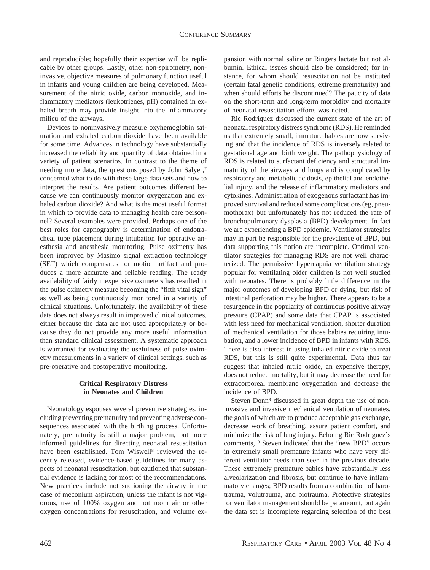and reproducible; hopefully their expertise will be replicable by other groups. Lastly, other non-spirometry, noninvasive, objective measures of pulmonary function useful in infants and young children are being developed. Measurement of the nitric oxide, carbon monoxide, and inflammatory mediators (leukotrienes, pH) contained in exhaled breath may provide insight into the inflammatory milieu of the airways.

Devices to noninvasively measure oxyhemoglobin saturation and exhaled carbon dioxide have been available for some time. Advances in technology have substantially increased the reliability and quantity of data obtained in a variety of patient scenarios. In contrast to the theme of needing more data, the questions posed by John Salyer,7 concerned what to do with these large data sets and how to interpret the results. Are patient outcomes different because we can continuously monitor oxygenation and exhaled carbon dioxide? And what is the most useful format in which to provide data to managing health care personnel? Several examples were provided. Perhaps one of the best roles for capnography is determination of endotracheal tube placement during intubation for operative anesthesia and anesthesia monitoring. Pulse oximetry has been improved by Masimo signal extraction technology (SET) which compensates for motion artifact and produces a more accurate and reliable reading. The ready availability of fairly inexpensive oximeters has resulted in the pulse oximetry measure becoming the "fifth vital sign" as well as being continuously monitored in a variety of clinical situations. Unfortunately, the availability of these data does not always result in improved clinical outcomes, either because the data are not used appropriately or because they do not provide any more useful information than standard clinical assessment. A systematic approach is warranted for evaluating the usefulness of pulse oximetry measurements in a variety of clinical settings, such as pre-operative and postoperative monitoring.

## **Critical Respiratory Distress in Neonates and Children**

Neonatology espouses several preventive strategies, including preventing prematurity and preventing adverse consequences associated with the birthing process. Unfortunately, prematurity is still a major problem, but more informed guidelines for directing neonatal resuscitation have been established. Tom Wiswell<sup>8</sup> reviewed the recently released, evidence-based guidelines for many aspects of neonatal resuscitation, but cautioned that substantial evidence is lacking for most of the recommendations. New practices include not suctioning the airway in the case of meconium aspiration, unless the infant is not vigorous, use of 100% oxygen and not room air or other oxygen concentrations for resuscitation, and volume expansion with normal saline or Ringers lactate but not albumin. Ethical issues should also be considered; for instance, for whom should resuscitation not be instituted (certain fatal genetic conditions, extreme prematurity) and when should efforts be discontinued? The paucity of data on the short-term and long-term morbidity and mortality of neonatal resuscitation efforts was noted.

Ric Rodriquez discussed the current state of the art of neonatal respiratory distress syndrome (RDS). He reminded us that extremely small, immature babies are now surviving and that the incidence of RDS is inversely related to gestational age and birth weight. The pathophysiology of RDS is related to surfactant deficiency and structural immaturity of the airways and lungs and is complicated by respiratory and metabolic acidosis, epithelial and endothelial injury, and the release of inflammatory mediators and cytokines. Administration of exogenous surfactant has improved survival and reduced some complications (eg, pneumothorax) but unfortunately has not reduced the rate of bronchopulmonary dysplasia (BPD) development. In fact we are experiencing a BPD epidemic. Ventilator strategies may in part be responsible for the prevalence of BPD, but data supporting this notion are incomplete. Optimal ventilator strategies for managing RDS are not well characterized. The permissive hypercapnia ventilation strategy popular for ventilating older children is not well studied with neonates. There is probably little difference in the major outcomes of developing BPD or dying, but risk of intestinal perforation may be higher. There appears to be a resurgence in the popularity of continuous positive airway pressure (CPAP) and some data that CPAP is associated with less need for mechanical ventilation, shorter duration of mechanical ventilation for those babies requiring intubation, and a lower incidence of BPD in infants with RDS. There is also interest in using inhaled nitric oxide to treat RDS, but this is still quite experimental. Data thus far suggest that inhaled nitric oxide, an expensive therapy, does not reduce mortality, but it may decrease the need for extracorporeal membrane oxygenation and decrease the incidence of BPD.

Steven Donn9 discussed in great depth the use of noninvasive and invasive mechanical ventilation of neonates, the goals of which are to produce acceptable gas exchange, decrease work of breathing, assure patient comfort, and minimize the risk of lung injury. Echoing Ric Rodriguez's comments,10 Steven indicated that the "new BPD" occurs in extremely small premature infants who have very different ventilator needs than seen in the previous decade. These extremely premature babies have substantially less alveolarization and fibrosis, but continue to have inflammatory changes; BPD results from a combination of barotrauma, volutrauma, and biotrauma. Protective strategies for ventilator management should be paramount, but again the data set is incomplete regarding selection of the best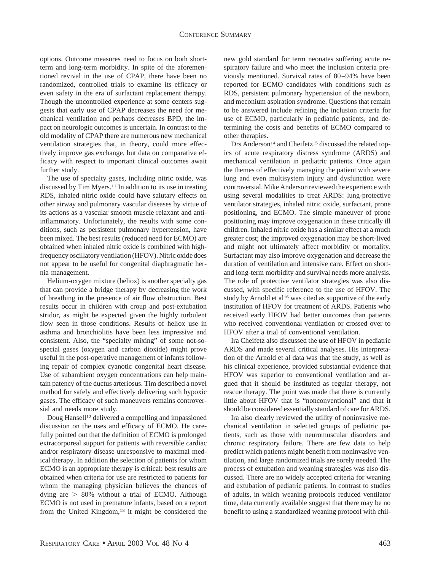options. Outcome measures need to focus on both shortterm and long-term morbidity. In spite of the aforementioned revival in the use of CPAP, there have been no randomized, controlled trials to examine its efficacy or even safety in the era of surfactant replacement therapy. Though the uncontrolled experience at some centers suggests that early use of CPAP decreases the need for mechanical ventilation and perhaps decreases BPD, the impact on neurologic outcomes is uncertain. In contrast to the old modality of CPAP there are numerous new mechanical ventilation strategies that, in theory, could more effectively improve gas exchange, but data on comparative efficacy with respect to important clinical outcomes await further study.

The use of specialty gases, including nitric oxide, was discussed by Tim Myers.11 In addition to its use in treating RDS, inhaled nitric oxide could have salutary effects on other airway and pulmonary vascular diseases by virtue of its actions as a vascular smooth muscle relaxant and antiinflammatory. Unfortunately, the results with some conditions, such as persistent pulmonary hypertension, have been mixed. The best results (reduced need for ECMO) are obtained when inhaled nitric oxide is combined with highfrequency oscillatory ventilation (HFOV). Nitric oxide does not appear to be useful for congenital diaphragmatic hernia management.

Helium-oxygen mixture (heliox) is another specialty gas that can provide a bridge therapy by decreasing the work of breathing in the presence of air flow obstruction. Best results occur in children with croup and post-extubation stridor, as might be expected given the highly turbulent flow seen in those conditions. Results of heliox use in asthma and bronchiolitis have been less impressive and consistent. Also, the "specialty mixing" of some not-sospecial gases (oxygen and carbon dioxide) might prove useful in the post-operative management of infants following repair of complex cyanotic congenital heart disease. Use of subambient oxygen concentrations can help maintain patency of the ductus arteriosus. Tim described a novel method for safely and effectively delivering such hypoxic gases. The efficacy of such maneuvers remains controversial and needs more study.

Doug Hansell12 delivered a compelling and impassioned discussion on the uses and efficacy of ECMO. He carefully pointed out that the definition of ECMO is prolonged extracorporeal support for patients with reversible cardiac and/or respiratory disease unresponsive to maximal medical therapy. In addition the selection of patients for whom ECMO is an appropriate therapy is critical: best results are obtained when criteria for use are restricted to patients for whom the managing physician believes the chances of dying are  $> 80\%$  without a trial of ECMO. Although ECMO is not used in premature infants, based on a report from the United Kingdom,<sup>13</sup> it might be considered the new gold standard for term neonates suffering acute respiratory failure and who meet the inclusion criteria previously mentioned. Survival rates of 80–94% have been reported for ECMO candidates with conditions such as RDS, persistent pulmonary hypertension of the newborn, and meconium aspiration syndrome. Questions that remain to be answered include refining the inclusion criteria for use of ECMO, particularly in pediatric patients, and determining the costs and benefits of ECMO compared to other therapies.

Drs Anderson<sup>14</sup> and Cheifetz<sup>15</sup> discussed the related topics of acute respiratory distress syndrome (ARDS) and mechanical ventilation in pediatric patients. Once again the themes of effectively managing the patient with severe lung and even multisystem injury and dysfunction were controversial. Mike Anderson reviewed the experience with using several modalities to treat ARDS: lung-protective ventilator strategies, inhaled nitric oxide, surfactant, prone positioning, and ECMO. The simple maneuver of prone positioning may improve oxygenation in these critically ill children. Inhaled nitric oxide has a similar effect at a much greater cost; the improved oxygenation may be short-lived and might not ultimately affect morbidity or mortality. Surfactant may also improve oxygenation and decrease the duration of ventilation and intensive care. Effect on shortand long-term morbidity and survival needs more analysis. The role of protective ventilator strategies was also discussed, with specific reference to the use of HFOV. The study by Arnold et al<sup>16</sup> was cited as supportive of the early institution of HFOV for treatment of ARDS. Patients who received early HFOV had better outcomes than patients who received conventional ventilation or crossed over to HFOV after a trial of conventional ventilation.

Ira Cheifetz also discussed the use of HFOV in pediatric ARDS and made several critical analyses. His interpretation of the Arnold et al data was that the study, as well as his clinical experience, provided substantial evidence that HFOV was superior to conventional ventilation and argued that it should be instituted as regular therapy, not rescue therapy. The point was made that there is currently little about HFOV that is "nonconventional" and that it should be considered essentially standard of care for ARDS.

Ira also clearly reviewed the utility of noninvasive mechanical ventilation in selected groups of pediatric patients, such as those with neuromuscular disorders and chronic respiratory failure. There are few data to help predict which patients might benefit from noninvasive ventilation, and large randomized trials are sorely needed. The process of extubation and weaning strategies was also discussed. There are no widely accepted criteria for weaning and extubation of pediatric patients. In contrast to studies of adults, in which weaning protocols reduced ventilator time, data currently available suggest that there may be no benefit to using a standardized weaning protocol with chil-